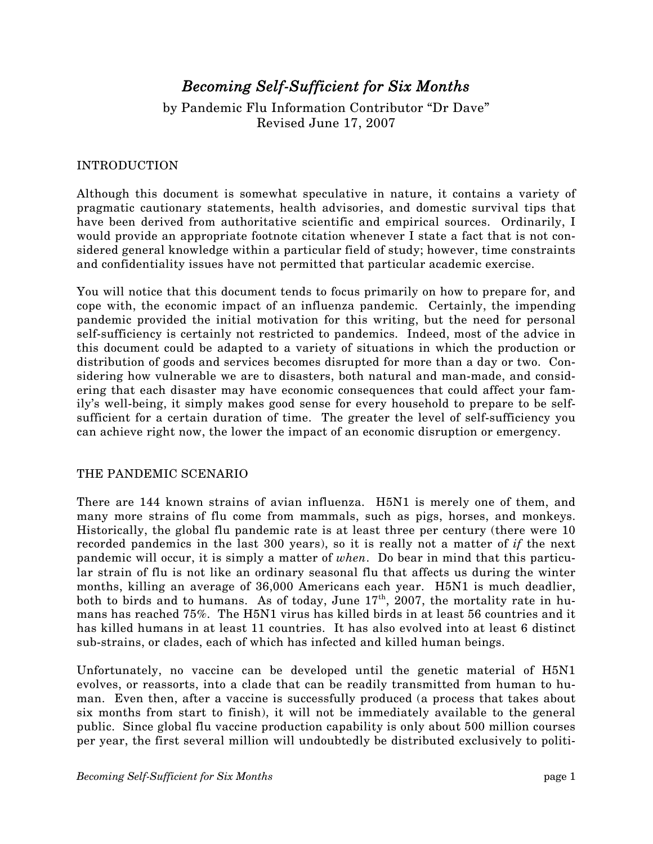# *Becoming Self-Sufficient for Six Months*

by Pandemic Flu Information Contributor "Dr Dave" Revised June 17, 2007

#### INTRODUCTION

Although this document is somewhat speculative in nature, it contains a variety of pragmatic cautionary statements, health advisories, and domestic survival tips that have been derived from authoritative scientific and empirical sources. Ordinarily, I would provide an appropriate footnote citation whenever I state a fact that is not considered general knowledge within a particular field of study; however, time constraints and confidentiality issues have not permitted that particular academic exercise.

You will notice that this document tends to focus primarily on how to prepare for, and cope with, the economic impact of an influenza pandemic. Certainly, the impending pandemic provided the initial motivation for this writing, but the need for personal self-sufficiency is certainly not restricted to pandemics. Indeed, most of the advice in this document could be adapted to a variety of situations in which the production or distribution of goods and services becomes disrupted for more than a day or two. Considering how vulnerable we are to disasters, both natural and man-made, and considering that each disaster may have economic consequences that could affect your family's well-being, it simply makes good sense for every household to prepare to be selfsufficient for a certain duration of time. The greater the level of self-sufficiency you can achieve right now, the lower the impact of an economic disruption or emergency.

## THE PANDEMIC SCENARIO

There are 144 known strains of avian influenza. H5N1 is merely one of them, and many more strains of flu come from mammals, such as pigs, horses, and monkeys. Historically, the global flu pandemic rate is at least three per century (there were 10 recorded pandemics in the last 300 years), so it is really not a matter of *if* the next pandemic will occur, it is simply a matter of *when*. Do bear in mind that this particular strain of flu is not like an ordinary seasonal flu that affects us during the winter months, killing an average of 36,000 Americans each year. H5N1 is much deadlier, both to birds and to humans. As of today, June  $17<sup>th</sup>$ , 2007, the mortality rate in humans has reached 75%. The H5N1 virus has killed birds in at least 56 countries and it has killed humans in at least 11 countries. It has also evolved into at least 6 distinct sub-strains, or clades, each of which has infected and killed human beings.

Unfortunately, no vaccine can be developed until the genetic material of H5N1 evolves, or reassorts, into a clade that can be readily transmitted from human to human. Even then, after a vaccine is successfully produced (a process that takes about six months from start to finish), it will not be immediately available to the general public. Since global flu vaccine production capability is only about 500 million courses per year, the first several million will undoubtedly be distributed exclusively to politi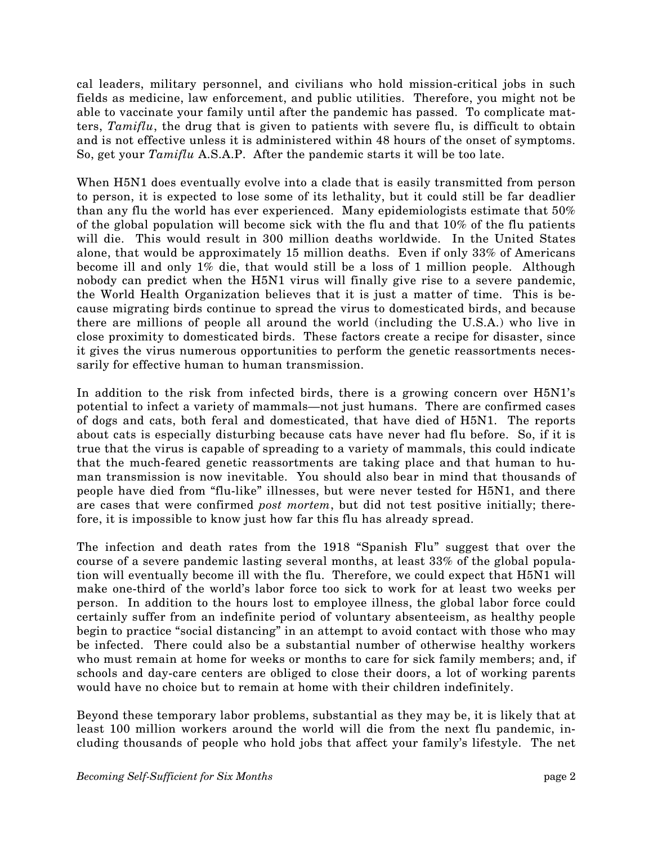cal leaders, military personnel, and civilians who hold mission-critical jobs in such fields as medicine, law enforcement, and public utilities. Therefore, you might not be able to vaccinate your family until after the pandemic has passed. To complicate matters, *Tamiflu*, the drug that is given to patients with severe flu, is difficult to obtain and is not effective unless it is administered within 48 hours of the onset of symptoms. So, get your *Tamiflu* A.S.A.P. After the pandemic starts it will be too late.

When H5N1 does eventually evolve into a clade that is easily transmitted from person to person, it is expected to lose some of its lethality, but it could still be far deadlier than any flu the world has ever experienced. Many epidemiologists estimate that 50% of the global population will become sick with the flu and that 10% of the flu patients will die. This would result in 300 million deaths worldwide. In the United States alone, that would be approximately 15 million deaths. Even if only 33% of Americans become ill and only 1% die, that would still be a loss of 1 million people. Although nobody can predict when the H5N1 virus will finally give rise to a severe pandemic, the World Health Organization believes that it is just a matter of time. This is because migrating birds continue to spread the virus to domesticated birds, and because there are millions of people all around the world (including the U.S.A.) who live in close proximity to domesticated birds. These factors create a recipe for disaster, since it gives the virus numerous opportunities to perform the genetic reassortments necessarily for effective human to human transmission.

In addition to the risk from infected birds, there is a growing concern over H5N1's potential to infect a variety of mammals–not just humans. There are confirmed cases of dogs and cats, both feral and domesticated, that have died of H5N1. The reports about cats is especially disturbing because cats have never had flu before. So, if it is true that the virus is capable of spreading to a variety of mammals, this could indicate that the much-feared genetic reassortments are taking place and that human to human transmission is now inevitable. You should also bear in mind that thousands of people have died from "flu-like" illnesses, but were never tested for H5N1, and there are cases that were confirmed *post mortem*, but did not test positive initially; therefore, it is impossible to know just how far this flu has already spread.

The infection and death rates from the 1918 "Spanish Flu" suggest that over the course of a severe pandemic lasting several months, at least 33% of the global population will eventually become ill with the flu. Therefore, we could expect that H5N1 will make one-third of the world's labor force too sick to work for at least two weeks per person. In addition to the hours lost to employee illness, the global labor force could certainly suffer from an indefinite period of voluntary absenteeism, as healthy people begin to practice "social distancing" in an attempt to avoid contact with those who may be infected. There could also be a substantial number of otherwise healthy workers who must remain at home for weeks or months to care for sick family members; and, if schools and day-care centers are obliged to close their doors, a lot of working parents would have no choice but to remain at home with their children indefinitely.

Beyond these temporary labor problems, substantial as they may be, it is likely that at least 100 million workers around the world will die from the next flu pandemic, including thousands of people who hold jobs that affect your family's lifestyle. The net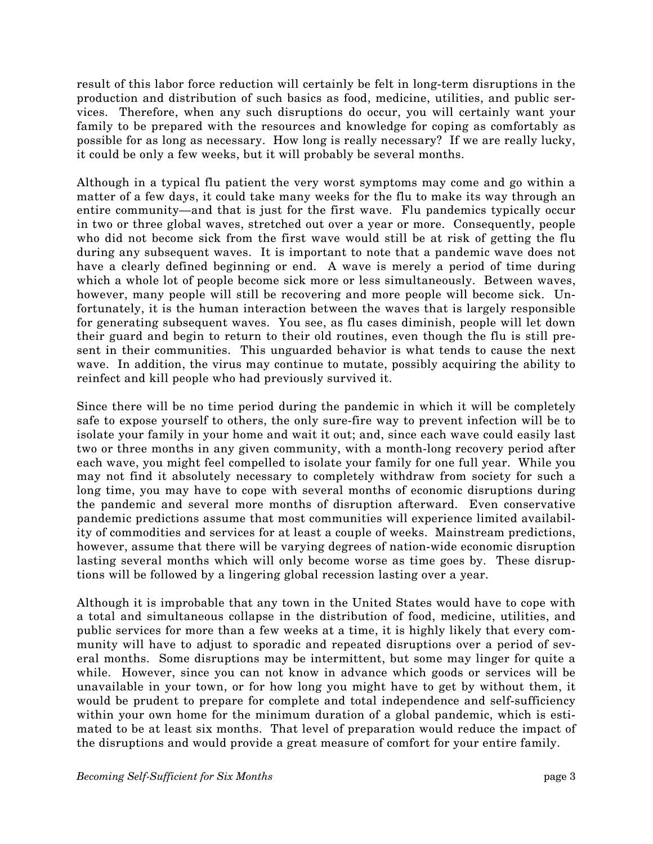result of this labor force reduction will certainly be felt in long-term disruptions in the production and distribution of such basics as food, medicine, utilities, and public services. Therefore, when any such disruptions do occur, you will certainly want your family to be prepared with the resources and knowledge for coping as comfortably as possible for as long as necessary. How long is really necessary? If we are really lucky, it could be only a few weeks, but it will probably be several months.

Although in a typical flu patient the very worst symptoms may come and go within a matter of a few days, it could take many weeks for the flu to make its way through an entire community–and that is just for the first wave. Flu pandemics typically occur in two or three global waves, stretched out over a year or more. Consequently, people who did not become sick from the first wave would still be at risk of getting the flu during any subsequent waves. It is important to note that a pandemic wave does not have a clearly defined beginning or end. A wave is merely a period of time during which a whole lot of people become sick more or less simultaneously. Between waves, however, many people will still be recovering and more people will become sick. Unfortunately, it is the human interaction between the waves that is largely responsible for generating subsequent waves. You see, as flu cases diminish, people will let down their guard and begin to return to their old routines, even though the flu is still present in their communities. This unguarded behavior is what tends to cause the next wave. In addition, the virus may continue to mutate, possibly acquiring the ability to reinfect and kill people who had previously survived it.

Since there will be no time period during the pandemic in which it will be completely safe to expose yourself to others, the only sure-fire way to prevent infection will be to isolate your family in your home and wait it out; and, since each wave could easily last two or three months in any given community, with a month-long recovery period after each wave, you might feel compelled to isolate your family for one full year. While you may not find it absolutely necessary to completely withdraw from society for such a long time, you may have to cope with several months of economic disruptions during the pandemic and several more months of disruption afterward. Even conservative pandemic predictions assume that most communities will experience limited availability of commodities and services for at least a couple of weeks. Mainstream predictions, however, assume that there will be varying degrees of nation-wide economic disruption lasting several months which will only become worse as time goes by. These disruptions will be followed by a lingering global recession lasting over a year.

Although it is improbable that any town in the United States would have to cope with a total and simultaneous collapse in the distribution of food, medicine, utilities, and public services for more than a few weeks at a time, it is highly likely that every community will have to adjust to sporadic and repeated disruptions over a period of several months. Some disruptions may be intermittent, but some may linger for quite a while. However, since you can not know in advance which goods or services will be unavailable in your town, or for how long you might have to get by without them, it would be prudent to prepare for complete and total independence and self-sufficiency within your own home for the minimum duration of a global pandemic, which is estimated to be at least six months. That level of preparation would reduce the impact of the disruptions and would provide a great measure of comfort for your entire family.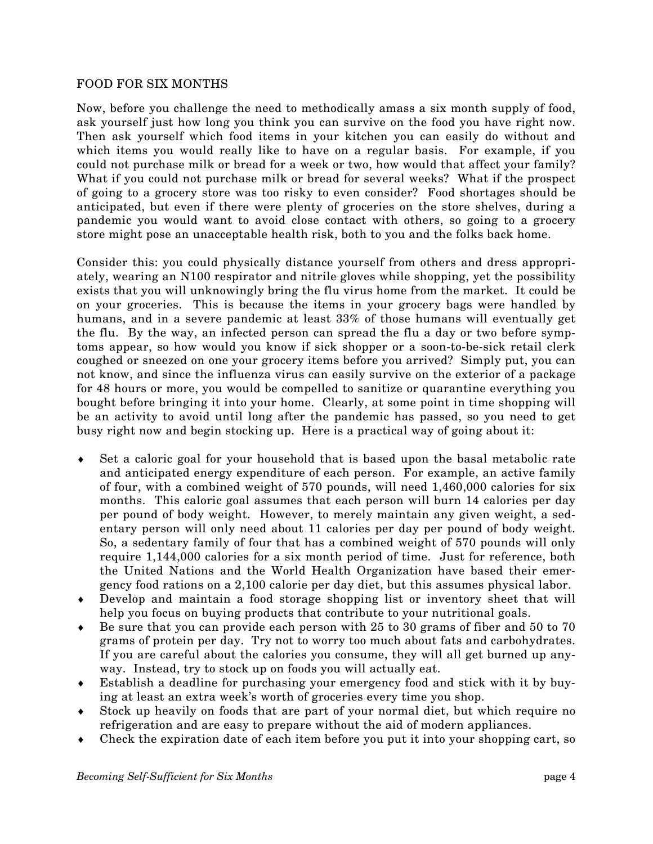#### FOOD FOR SIX MONTHS

Now, before you challenge the need to methodically amass a six month supply of food, ask yourself just how long you think you can survive on the food you have right now. Then ask yourself which food items in your kitchen you can easily do without and which items you would really like to have on a regular basis. For example, if you could not purchase milk or bread for a week or two, how would that affect your family? What if you could not purchase milk or bread for several weeks? What if the prospect of going to a grocery store was too risky to even consider? Food shortages should be anticipated, but even if there were plenty of groceries on the store shelves, during a pandemic you would want to avoid close contact with others, so going to a grocery store might pose an unacceptable health risk, both to you and the folks back home.

Consider this: you could physically distance yourself from others and dress appropriately, wearing an N100 respirator and nitrile gloves while shopping, yet the possibility exists that you will unknowingly bring the flu virus home from the market. It could be on your groceries. This is because the items in your grocery bags were handled by humans, and in a severe pandemic at least 33% of those humans will eventually get the flu. By the way, an infected person can spread the flu a day or two before symptoms appear, so how would you know if sick shopper or a soon-to-be-sick retail clerk coughed or sneezed on one your grocery items before you arrived? Simply put, you can not know, and since the influenza virus can easily survive on the exterior of a package for 48 hours or more, you would be compelled to sanitize or quarantine everything you bought before bringing it into your home. Clearly, at some point in time shopping will be an activity to avoid until long after the pandemic has passed, so you need to get busy right now and begin stocking up. Here is a practical way of going about it:

- Set a caloric goal for your household that is based upon the basal metabolic rate and anticipated energy expenditure of each person. For example, an active family of four, with a combined weight of 570 pounds, will need 1,460,000 calories for six months. This caloric goal assumes that each person will burn 14 calories per day per pound of body weight. However, to merely maintain any given weight, a sedentary person will only need about 11 calories per day per pound of body weight. So, a sedentary family of four that has a combined weight of 570 pounds will only require 1,144,000 calories for a six month period of time. Just for reference, both the United Nations and the World Health Organization have based their emergency food rations on a 2,100 calorie per day diet, but this assumes physical labor.
- ♦ Develop and maintain a food storage shopping list or inventory sheet that will help you focus on buying products that contribute to your nutritional goals.
- Be sure that you can provide each person with 25 to 30 grams of fiber and 50 to 70 grams of protein per day. Try not to worry too much about fats and carbohydrates. If you are careful about the calories you consume, they will all get burned up anyway. Instead, try to stock up on foods you will actually eat.
- ♦ Establish a deadline for purchasing your emergency food and stick with it by buying at least an extra week's worth of groceries every time you shop.
- ♦ Stock up heavily on foods that are part of your normal diet, but which require no refrigeration and are easy to prepare without the aid of modern appliances.
- ♦ Check the expiration date of each item before you put it into your shopping cart, so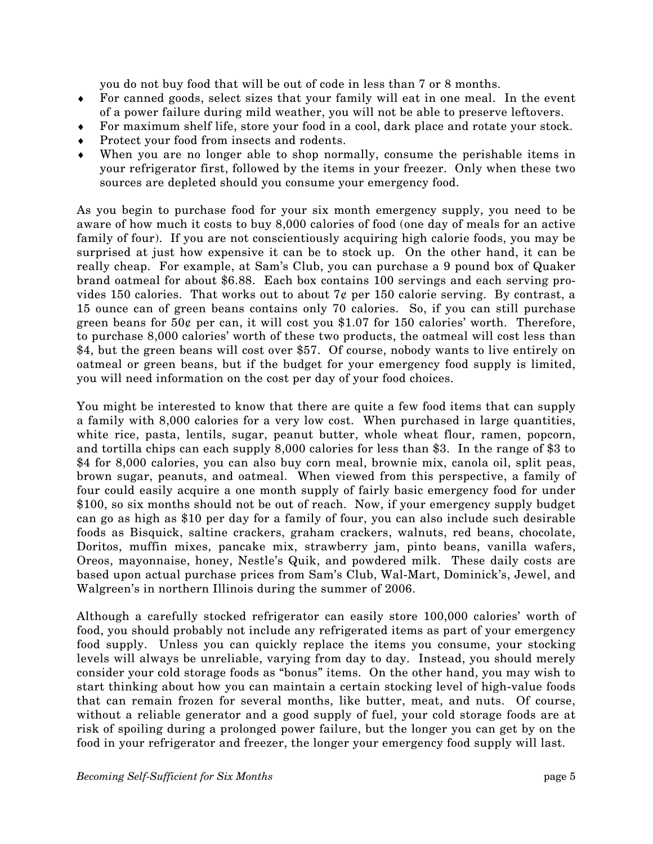you do not buy food that will be out of code in less than 7 or 8 months.

- ♦ For canned goods, select sizes that your family will eat in one meal. In the event of a power failure during mild weather, you will not be able to preserve leftovers.
- ♦ For maximum shelf life, store your food in a cool, dark place and rotate your stock.
- ♦ Protect your food from insects and rodents.
- When you are no longer able to shop normally, consume the perishable items in your refrigerator first, followed by the items in your freezer. Only when these two sources are depleted should you consume your emergency food.

As you begin to purchase food for your six month emergency supply, you need to be aware of how much it costs to buy 8,000 calories of food (one day of meals for an active family of four). If you are not conscientiously acquiring high calorie foods, you may be surprised at just how expensive it can be to stock up. On the other hand, it can be really cheap. For example, at Sam's Club, you can purchase a 9 pound box of Quaker brand oatmeal for about \$6.88. Each box contains 100 servings and each serving provides 150 calories. That works out to about  $7¢$  per 150 calorie serving. By contrast, a 15 ounce can of green beans contains only 70 calories. So, if you can still purchase green beans for  $50¢$  per can, it will cost you \$1.07 for 150 calories' worth. Therefore, to purchase 8,000 calories' worth of these two products, the oatmeal will cost less than \$4, but the green beans will cost over \$57. Of course, nobody wants to live entirely on oatmeal or green beans, but if the budget for your emergency food supply is limited, you will need information on the cost per day of your food choices.

You might be interested to know that there are quite a few food items that can supply a family with 8,000 calories for a very low cost. When purchased in large quantities, white rice, pasta, lentils, sugar, peanut butter, whole wheat flour, ramen, popcorn, and tortilla chips can each supply 8,000 calories for less than \$3. In the range of \$3 to \$4 for 8,000 calories, you can also buy corn meal, brownie mix, canola oil, split peas, brown sugar, peanuts, and oatmeal. When viewed from this perspective, a family of four could easily acquire a one month supply of fairly basic emergency food for under \$100, so six months should not be out of reach. Now, if your emergency supply budget can go as high as \$10 per day for a family of four, you can also include such desirable foods as Bisquick, saltine crackers, graham crackers, walnuts, red beans, chocolate, Doritos, muffin mixes, pancake mix, strawberry jam, pinto beans, vanilla wafers, Oreos, mayonnaise, honey, Nestle's Quik, and powdered milk. These daily costs are based upon actual purchase prices from Sam's Club, Wal-Mart, Dominick's, Jewel, and Walgreen's in northern Illinois during the summer of 2006.

Although a carefully stocked refrigerator can easily store 100,000 calories' worth of food, you should probably not include any refrigerated items as part of your emergency food supply. Unless you can quickly replace the items you consume, your stocking levels will always be unreliable, varying from day to day. Instead, you should merely consider your cold storage foods as "bonus" items. On the other hand, you may wish to start thinking about how you can maintain a certain stocking level of high-value foods that can remain frozen for several months, like butter, meat, and nuts. Of course, without a reliable generator and a good supply of fuel, your cold storage foods are at risk of spoiling during a prolonged power failure, but the longer you can get by on the food in your refrigerator and freezer, the longer your emergency food supply will last.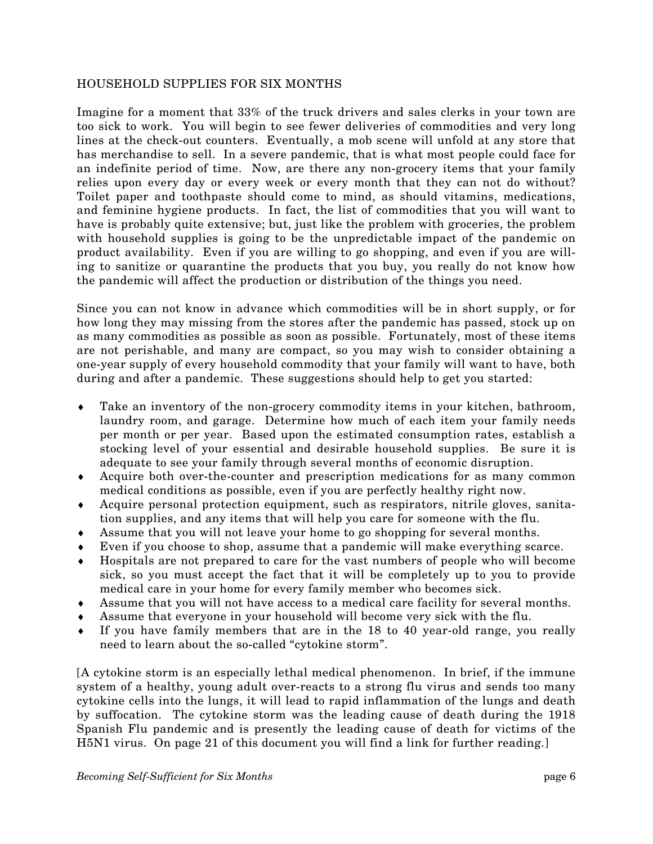#### HOUSEHOLD SUPPLIES FOR SIX MONTHS

Imagine for a moment that 33% of the truck drivers and sales clerks in your town are too sick to work. You will begin to see fewer deliveries of commodities and very long lines at the check-out counters. Eventually, a mob scene will unfold at any store that has merchandise to sell. In a severe pandemic, that is what most people could face for an indefinite period of time. Now, are there any non-grocery items that your family relies upon every day or every week or every month that they can not do without? Toilet paper and toothpaste should come to mind, as should vitamins, medications, and feminine hygiene products. In fact, the list of commodities that you will want to have is probably quite extensive; but, just like the problem with groceries, the problem with household supplies is going to be the unpredictable impact of the pandemic on product availability. Even if you are willing to go shopping, and even if you are willing to sanitize or quarantine the products that you buy, you really do not know how the pandemic will affect the production or distribution of the things you need.

Since you can not know in advance which commodities will be in short supply, or for how long they may missing from the stores after the pandemic has passed, stock up on as many commodities as possible as soon as possible. Fortunately, most of these items are not perishable, and many are compact, so you may wish to consider obtaining a one-year supply of every household commodity that your family will want to have, both during and after a pandemic. These suggestions should help to get you started:

- ♦ Take an inventory of the non-grocery commodity items in your kitchen, bathroom, laundry room, and garage. Determine how much of each item your family needs per month or per year. Based upon the estimated consumption rates, establish a stocking level of your essential and desirable household supplies. Be sure it is adequate to see your family through several months of economic disruption.
- ♦ Acquire both over-the-counter and prescription medications for as many common medical conditions as possible, even if you are perfectly healthy right now.
- ♦ Acquire personal protection equipment, such as respirators, nitrile gloves, sanitation supplies, and any items that will help you care for someone with the flu.
- ♦ Assume that you will not leave your home to go shopping for several months.
- ♦ Even if you choose to shop, assume that a pandemic will make everything scarce.
- Hospitals are not prepared to care for the vast numbers of people who will become sick, so you must accept the fact that it will be completely up to you to provide medical care in your home for every family member who becomes sick.
- ♦ Assume that you will not have access to a medical care facility for several months.
- ♦ Assume that everyone in your household will become very sick with the flu.
- ♦ If you have family members that are in the 18 to 40 year-old range, you really need to learn about the so-called "cytokine storm".

[A cytokine storm is an especially lethal medical phenomenon. In brief, if the immune system of a healthy, young adult over-reacts to a strong flu virus and sends too many cytokine cells into the lungs, it will lead to rapid inflammation of the lungs and death by suffocation. The cytokine storm was the leading cause of death during the 1918 Spanish Flu pandemic and is presently the leading cause of death for victims of the H5N1 virus. On page 21 of this document you will find a link for further reading.]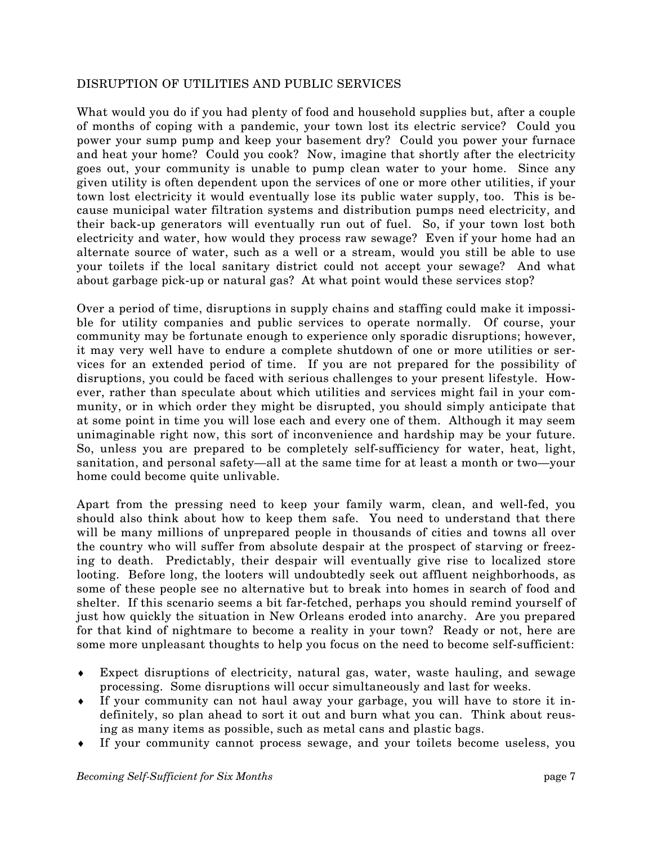#### DISRUPTION OF UTILITIES AND PUBLIC SERVICES

What would you do if you had plenty of food and household supplies but, after a couple of months of coping with a pandemic, your town lost its electric service? Could you power your sump pump and keep your basement dry? Could you power your furnace and heat your home? Could you cook? Now, imagine that shortly after the electricity goes out, your community is unable to pump clean water to your home. Since any given utility is often dependent upon the services of one or more other utilities, if your town lost electricity it would eventually lose its public water supply, too. This is because municipal water filtration systems and distribution pumps need electricity, and their back-up generators will eventually run out of fuel. So, if your town lost both electricity and water, how would they process raw sewage? Even if your home had an alternate source of water, such as a well or a stream, would you still be able to use your toilets if the local sanitary district could not accept your sewage? And what about garbage pick-up or natural gas? At what point would these services stop?

Over a period of time, disruptions in supply chains and staffing could make it impossible for utility companies and public services to operate normally. Of course, your community may be fortunate enough to experience only sporadic disruptions; however, it may very well have to endure a complete shutdown of one or more utilities or services for an extended period of time. If you are not prepared for the possibility of disruptions, you could be faced with serious challenges to your present lifestyle. However, rather than speculate about which utilities and services might fail in your community, or in which order they might be disrupted, you should simply anticipate that at some point in time you will lose each and every one of them. Although it may seem unimaginable right now, this sort of inconvenience and hardship may be your future. So, unless you are prepared to be completely self-sufficiency for water, heat, light, sanitation, and personal safety–all at the same time for at least a month or two–your home could become quite unlivable.

Apart from the pressing need to keep your family warm, clean, and well-fed, you should also think about how to keep them safe. You need to understand that there will be many millions of unprepared people in thousands of cities and towns all over the country who will suffer from absolute despair at the prospect of starving or freezing to death. Predictably, their despair will eventually give rise to localized store looting. Before long, the looters will undoubtedly seek out affluent neighborhoods, as some of these people see no alternative but to break into homes in search of food and shelter. If this scenario seems a bit far-fetched, perhaps you should remind yourself of just how quickly the situation in New Orleans eroded into anarchy. Are you prepared for that kind of nightmare to become a reality in your town? Ready or not, here are some more unpleasant thoughts to help you focus on the need to become self-sufficient:

- Expect disruptions of electricity, natural gas, water, waste hauling, and sewage processing. Some disruptions will occur simultaneously and last for weeks.
- ♦ If your community can not haul away your garbage, you will have to store it indefinitely, so plan ahead to sort it out and burn what you can. Think about reusing as many items as possible, such as metal cans and plastic bags.
- ♦ If your community cannot process sewage, and your toilets become useless, you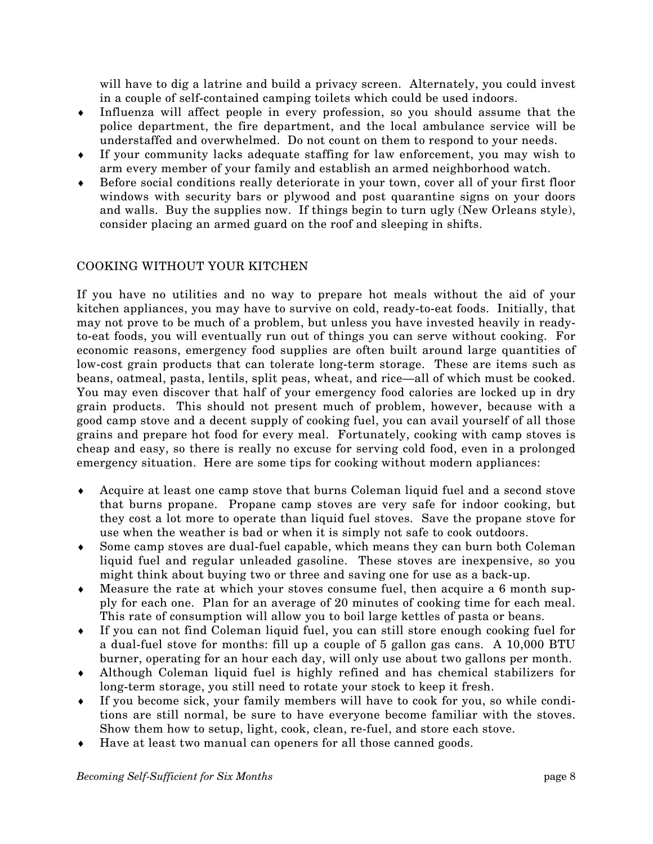will have to dig a latrine and build a privacy screen. Alternately, you could invest in a couple of self-contained camping toilets which could be used indoors.

- ♦ Influenza will affect people in every profession, so you should assume that the police department, the fire department, and the local ambulance service will be understaffed and overwhelmed. Do not count on them to respond to your needs.
- ♦ If your community lacks adequate staffing for law enforcement, you may wish to arm every member of your family and establish an armed neighborhood watch.
- ♦ Before social conditions really deteriorate in your town, cover all of your first floor windows with security bars or plywood and post quarantine signs on your doors and walls. Buy the supplies now. If things begin to turn ugly (New Orleans style), consider placing an armed guard on the roof and sleeping in shifts.

# COOKING WITHOUT YOUR KITCHEN

If you have no utilities and no way to prepare hot meals without the aid of your kitchen appliances, you may have to survive on cold, ready-to-eat foods. Initially, that may not prove to be much of a problem, but unless you have invested heavily in readyto-eat foods, you will eventually run out of things you can serve without cooking. For economic reasons, emergency food supplies are often built around large quantities of low-cost grain products that can tolerate long-term storage. These are items such as beans, oatmeal, pasta, lentils, split peas, wheat, and rice–all of which must be cooked. You may even discover that half of your emergency food calories are locked up in dry grain products. This should not present much of problem, however, because with a good camp stove and a decent supply of cooking fuel, you can avail yourself of all those grains and prepare hot food for every meal. Fortunately, cooking with camp stoves is cheap and easy, so there is really no excuse for serving cold food, even in a prolonged emergency situation. Here are some tips for cooking without modern appliances:

- ♦ Acquire at least one camp stove that burns Coleman liquid fuel and a second stove that burns propane. Propane camp stoves are very safe for indoor cooking, but they cost a lot more to operate than liquid fuel stoves. Save the propane stove for use when the weather is bad or when it is simply not safe to cook outdoors.
- ♦ Some camp stoves are dual-fuel capable, which means they can burn both Coleman liquid fuel and regular unleaded gasoline. These stoves are inexpensive, so you might think about buying two or three and saving one for use as a back-up.
- ♦ Measure the rate at which your stoves consume fuel, then acquire a 6 month supply for each one. Plan for an average of 20 minutes of cooking time for each meal. This rate of consumption will allow you to boil large kettles of pasta or beans.
- ♦ If you can not find Coleman liquid fuel, you can still store enough cooking fuel for a dual-fuel stove for months: fill up a couple of 5 gallon gas cans. A 10,000 BTU burner, operating for an hour each day, will only use about two gallons per month.
- ♦ Although Coleman liquid fuel is highly refined and has chemical stabilizers for long-term storage, you still need to rotate your stock to keep it fresh.
- ♦ If you become sick, your family members will have to cook for you, so while conditions are still normal, be sure to have everyone become familiar with the stoves. Show them how to setup, light, cook, clean, re-fuel, and store each stove.
- ♦ Have at least two manual can openers for all those canned goods.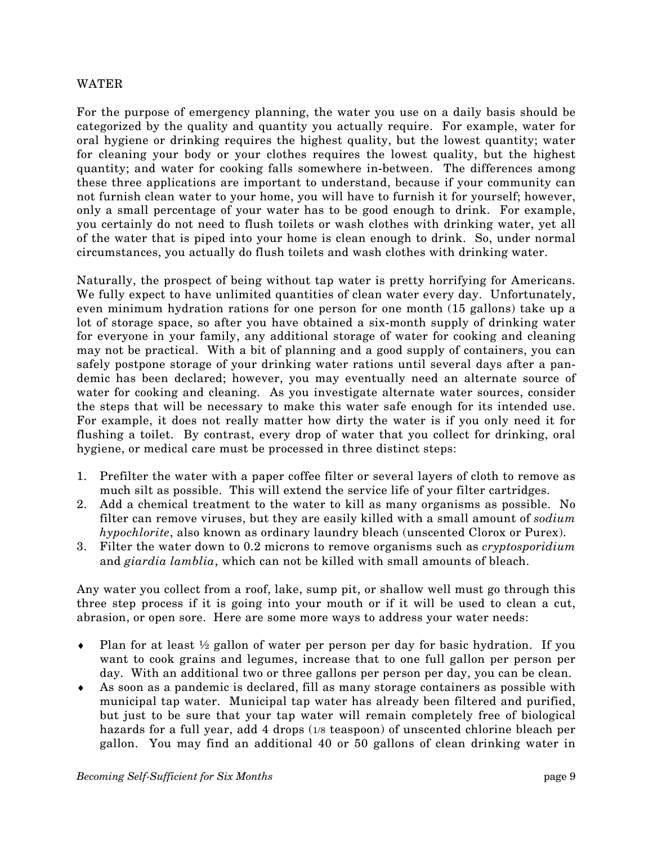#### WATER

For the purpose of emergency planning, the water you use on a daily basis should be categorized by the quality and quantity you actually require. For example, water for oral hygiene or drinking requires the highest quality, but the lowest quantity; water for cleaning your body or your clothes requires the lowest quality, but the highest quantity; and water for cooking falls somewhere in-between. The differences among these three applications are important to understand, because if your community can not furnish clean water to your home, you will have to furnish it for yourself; however, only a small percentage of your water has to be good enough to drink. For example, you certainly do not need to flush toilets or wash clothes with drinking water, yet all of the water that is piped into your home is clean enough to drink. So, under normal circumstances, you actually do flush toilets and wash clothes with drinking water.

Naturally, the prospect of being without tap water is pretty horrifying for Americans. We fully expect to have unlimited quantities of clean water every day. Unfortunately, even minimum hydration rations for one person for one month (15 gallons) take up a lot of storage space, so after you have obtained a six-month supply of drinking water for everyone in your family, any additional storage of water for cooking and cleaning may not be practical. With a bit of planning and a good supply of containers, you can safely postpone storage of your drinking water rations until several days after a pandemic has been declared; however, you may eventually need an alternate source of water for cooking and cleaning. As you investigate alternate water sources, consider the steps that will be necessary to make this water safe enough for its intended use. For example, it does not really matter how dirty the water is if you only need it for flushing a toilet. By contrast, every drop of water that you collect for drinking, oral hygiene, or medical care must be processed in three distinct steps:

- . Prefilter the water with a paper coffee filter or several layers of cloth to remove as 1 much silt as possible. This will extend the service life of your filter cartridges.
- 2. Add a chemical treatment to the water to kill as many organisms as possible. No filter can remove viruses, but they are easily killed with a small amount of *sodium hypochlorite*, also known as ordinary laundry bleach (unscented Clorox or Purex).
- 3. Filter the water down to 0.2 microns to remove organisms such as *cryptosporidium* and *giardia lamblia*, which can not be killed with small amounts of bleach.

Any water you collect from a roof, lake, sump pit, or shallow well must go through this three step process if it is going into your mouth or if it will be used to clean a cut, abrasion, or open sore. Here are some more ways to address your water needs:

- Plan for at least  $\frac{1}{2}$  gallon of water per person per day for basic hydration. If you ♦ want to cook grains and legumes, increase that to one full gallon per person per day. With an additional two or three gallons per person per day, you can be clean.
- ♦ As soon as a pandemic is declared, fill as many storage containers as possible with municipal tap water. Municipal tap water has already been filtered and purified, but just to be sure that your tap water will remain completely free of biological hazards for a full year, add 4 drops (1/8 teaspoon) of unscented chlorine bleach per gallon. You may find an additional 40 or 50 gallons of clean drinking water in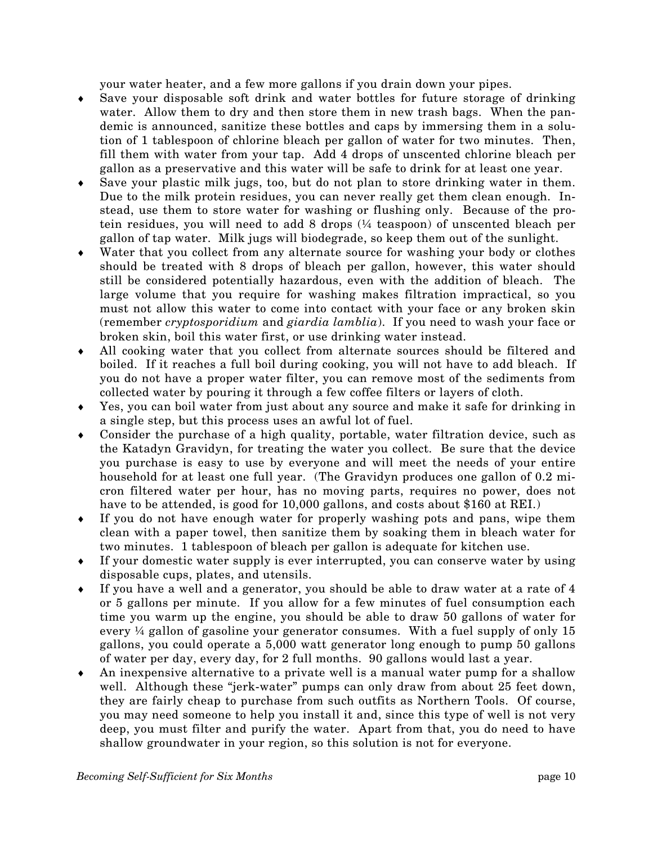your water heater, and a few more gallons if you drain down your pipes.

- ♦ Save your disposable soft drink and water bottles for future storage of drinking water. Allow them to dry and then store them in new trash bags. When the pandemic is announced, sanitize these bottles and caps by immersing them in a solution of 1 tablespoon of chlorine bleach per gallon of water for two minutes. Then, fill them with water from your tap. Add 4 drops of unscented chlorine bleach per gallon as a preservative and this water will be safe to drink for at least one year.
- ♦ . Save your plastic milk jugs, too, but do not plan to store drinking water in them Due to the milk protein residues, you can never really get them clean enough. Instead, use them to store water for washing or flushing only. Because of the protein residues, you will need to add 8 drops (¼ teaspoon) of unscented bleach per gallon of tap water. Milk jugs will biodegrade, so keep them out of the sunlight.
- Water that you collect from any alternate source for washing your body or clothes should be treated with 8 drops of bleach per gallon, however, this water should still be considered potentially hazardous, even with the addition of bleach. The large volume that you require for washing makes filtration impractical, so you must not allow this water to come into contact with your face or any broken skin (remember *cryptosporidium* and *giardia lamblia*). If you need to wash your face or broken skin, boil this water first, or use drinking water instead.
- All cooking water that you collect from alternate sources should be filtered and boiled. If it reaches a full boil during cooking, you will not have to add bleach. If you do not have a proper water filter, you can remove most of the sediments from collected water by pouring it through a few coffee filters or layers of cloth.
- Yes, you can boil water from just about any source and make it safe for drinking in a single step, but this process uses an awful lot of fuel.
- Consider the purchase of a high quality, portable, water filtration device, such as the Katadyn Gravidyn, for treating the water you collect. Be sure that the device you purchase is easy to use by everyone and will meet the needs of your entire household for at least one full year. (The Gravidyn produces one gallon of 0.2 micron filtered water per hour, has no moving parts, requires no power, does not have to be attended, is good for 10,000 gallons, and costs about \$160 at REI.)
- If you do not have enough water for properly washing pots and pans, wipe them clean with a paper towel, then sanitize them by soaking them in bleach water for two minutes. 1 tablespoon of bleach per gallon is adequate for kitchen use.
- If your domestic water supply is ever interrupted, you can conserve water by using disposable cups, plates, and utensils.
- If you have a well and a generator, you should be able to draw water at a rate of 4 or 5 gallons per minute. If you allow for a few minutes of fuel consumption each time you warm up the engine, you should be able to draw 50 gallons of water for every ¼ gallon of gasoline your generator consumes. With a fuel supply of only 15 gallons, you could operate a 5,000 watt generator long enough to pump 50 gallons of water per day, every day, for 2 full months. 90 gallons would last a year.
- An inexpensive alternative to a private well is a manual water pump for a shallow shallow groundwater in your region, so this solution is not for everyone. well. Although these "jerk-water" pumps can only draw from about 25 feet down, they are fairly cheap to purchase from such outfits as Northern Tools. Of course, you may need someone to help you install it and, since this type of well is not very deep, you must filter and purify the water. Apart from that, you do need to have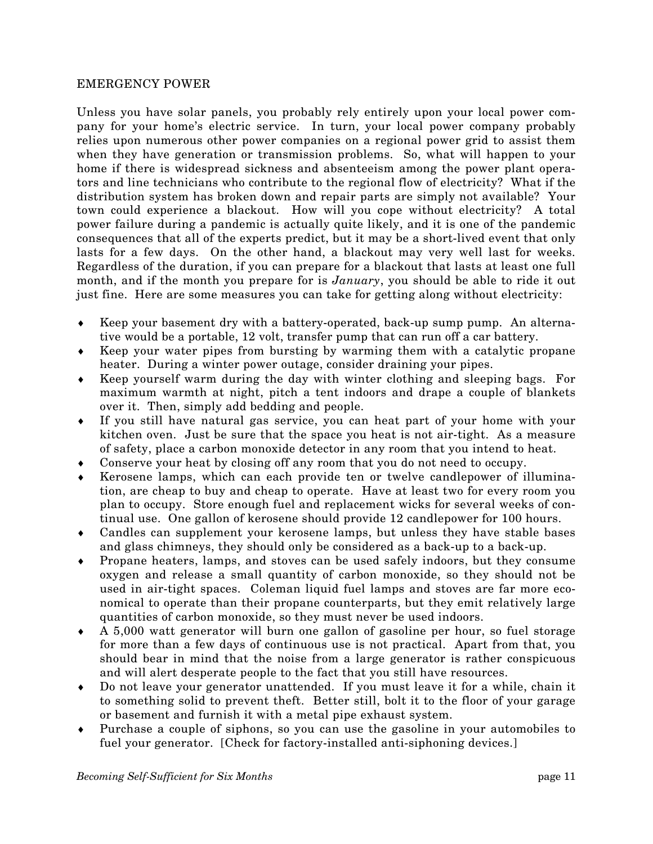## EM ERGENCY POWER

Unless you have solar panels, you probably rely entirely upon your local power company for your home's electric service. In turn, your local power company probably relies upon numerous other power companies on a regional power grid to assist them when they have generation or transmission problems. So, what will happen to your home if there is widespread sickness and absenteeism among the power plant operators and line technicians who contribute to the regional flow of electricity? What if the distribution system has broken down and repair parts are simply not available? Your town could experience a blackout. How will you cope without electricity? A total power failure during a pandemic is actually quite likely, and it is one of the pandemic consequences that all of the experts predict, but it may be a short-lived event that only lasts for a few days. On the other hand, a blackout may very well last for weeks. Regardless of the duration, if you can prepare for a blackout that lasts at least one full month, and if the month you prepare for is *January*, you should be able to ride it out just fine. Here are some measures you can take for getting along without electricity:

- ♦ Keep your basement dry with a battery-operated, back-up sump pump. An alterna tive would be a portable, 12 volt, transfer pump that can run off a car battery.
- ♦ Keep your water pipes from bursting by warming them with a catalytic propane heater. During a winter power outage, consider draining your pipes.
- maximum warmth at night, pitch a tent indoors and drape a couple of blankets ♦ Keep yourself warm during the day with winter clothing and sleeping bags. For over it. Then, simply add bedding and people.
- ♦ kitchen oven. Just be sure that the space you heat is not air-tight. As a measure If you still have natural gas service, you can heat part of your home with your of safety, place a carbon monoxide detector in any room that you intend to heat.
- ♦ Conserve your heat by closing off any room that you do not need to occupy.
- Kerosene lamps, which can each provide ten or twelve candlepower of illumination, are cheap to buy and cheap to operate. Have at least two for every room you plan to occupy. Store enough fuel and replacement wicks for several weeks of continual use. One gallon of kerosene should provide 12 candlepower for 100 hours.
- ♦ Candles can supplement your kerosene lamps, but unless they have stable bases and glass chimneys, they should only be considered as a back-up to a back-up.
- oxygen and release a small quantity of carbon monoxide, so they should not be ♦ Propane heaters, lamps, and stoves can be used safely indoors, but they consume used in air-tight spaces. Coleman liquid fuel lamps and stoves are far more economical to operate than their propane counterparts, but they emit relatively large quantities of carbon monoxide, so they must never be used indoors.
- ♦ for more than a few days of continuous use is not practical. Apart from that, you A 5,000 watt generator will burn one gallon of gasoline per hour, so fuel storage should bear in mind that the noise from a large generator is rather conspicuous and will alert desperate people to the fact that you still have resources.
- ♦ to something solid to prevent theft. Better still, bolt it to the floor of your garage Do not leave your generator unattended. If you must leave it for a while, chain it or basement and furnish it with a metal pipe exhaust system.
- ♦ fuel your generator. [Check for factory-installed anti-siphoning devices.] Purchase a couple of siphons, so you can use the gasoline in your automobiles to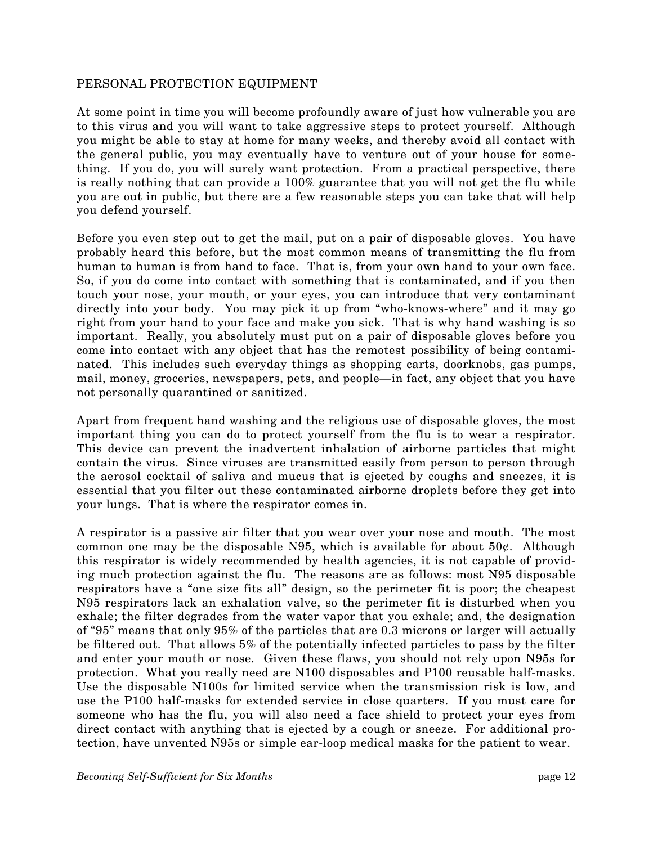## PER SONAL PROTECTION EQUIPMENT

At some point in time you will become profoundly aware of just how vulnerable you are to this virus and you will want to take aggressive steps to protect yourself. Although you might be able to stay at home for many weeks, and thereby avoid all contact with the general public, you may eventually have to venture out of your house for something. If you do, you will surely want protection. From a practical perspective, there is really nothing that can provide a 100% guarantee that you will not get the flu while you are out in public, but there are a few reasonable steps you can take that will help you defend yourself.

probably heard this before, but the most common means of transmitting the flu from human to human is from hand to face. That is, from your own hand to your own face. Before you even step out to get the mail, put on a pair of disposable gloves. You have So, if you do come into contact with something that is contaminated, and if you then touch your nose, your mouth, or your eyes, you can introduce that very contaminant directly into your body. You may pick it up from "who-knows-where" and it may go right from your hand to your face and make you sick. That is why hand washing is so important. Really, you absolutely must put on a pair of disposable gloves before you come into contact with any object that has the remotest possibility of being contaminated. This includes such everyday things as shopping carts, doorknobs, gas pumps, mail, money, groceries, newspapers, pets, and people–in fact, any object that you have not personally quarantined or sanitized.

important thing you can do to protect yourself from the flu is to wear a respirator. This device can prevent the inadvertent inhalation of airborne particles that might Apart from frequent hand washing and the religious use of disposable gloves, the most contain the virus. Since viruses are transmitted easily from person to person through the aerosol cocktail of saliva and mucus that is ejected by coughs and sneezes, it is essential that you filter out these contaminated airborne droplets before they get into your lungs. That is where the respirator comes in.

common one may be the disposable N95, which is available for about  $50¢$ . Although this respirator is widely recommended by health agencies, it is not capable of provid-A respirator is a passive air filter that you wear over your nose and mouth. The most ing much protection against the flu. The reasons are as follows: most N95 disposable respirators have a "one size fits all" design, so the perimeter fit is poor; the cheapest N95 respirators lack an exhalation valve, so the perimeter fit is disturbed when you exhale; the filter degrades from the water vapor that you exhale; and, the designation of "95" means that only 95% of the particles that are 0.3 microns or larger will actually be filtered out. That allows 5% of the potentially infected particles to pass by the filter and enter your mouth or nose. Given these flaws, you should not rely upon N95s for protection. What you really need are N100 disposables and P100 reusable half-masks. Use the disposable N100s for limited service when the transmission risk is low, and use the P100 half-masks for extended service in close quarters. If you must care for someone who has the flu, you will also need a face shield to protect your eyes from direct contact with anything that is ejected by a cough or sneeze. For additional protection, have unvented N95s or simple ear-loop medical masks for the patient to wear.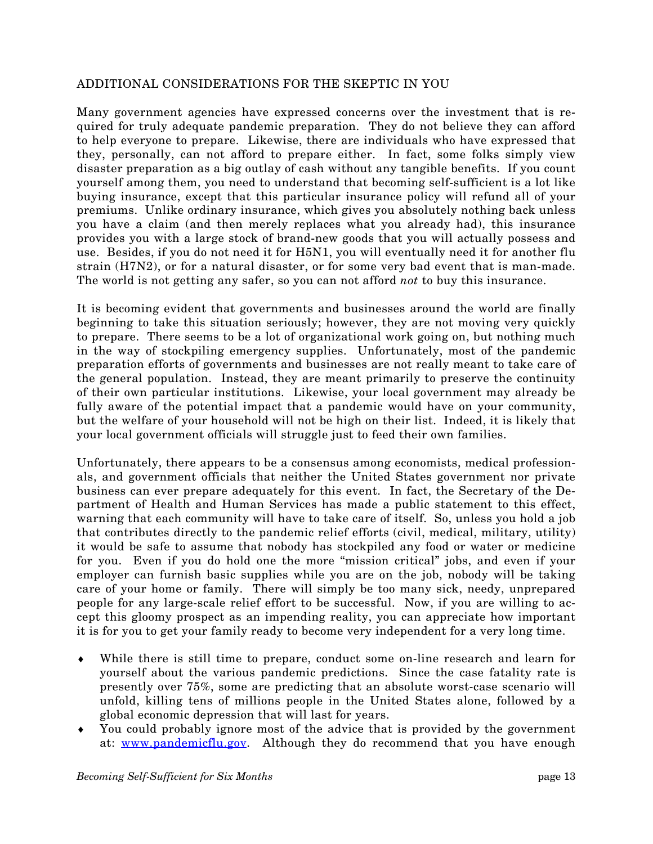#### ADDITIONAL CONSIDERATIONS FOR THE SKEPTIC IN YOU

Many government agencies have expressed concerns over the investment that is required for truly adequate pandemic preparation. They do not believe they can afford to help everyone to prepare. Likewise, there are individuals who have expressed that they, personally, can not afford to prepare either. In fact, some folks simply view disaster preparation as a big outlay of cash without any tangible benefits. If you count yourself among them, you need to understand that becoming self-sufficient is a lot like buying insurance, except that this particular insurance policy will refund all of your premiums. Unlike ordinary insurance, which gives you absolutely nothing back unless you have a claim (and then merely replaces what you already had), this insurance provides you with a large stock of brand-new goods that you will actually possess and use. Besides, if you do not need it for H5N1, you will eventually need it for another flu strain (H7N2), or for a natural disaster, or for some very bad event that is man-made. The world is not getting any safer, so you can not afford *not* to buy this insurance.

beginning to take this situation seriously; however, they are not moving very quickly to prepare. There seems to be a lot of organizational work going on, but nothing much It is becoming evident that governments and businesses around the world are finally in the way of stockpiling emergency supplies. Unfortunately, most of the pandemic preparation efforts of governments and businesses are not really meant to take care of the general population. Instead, they are meant primarily to preserve the continuity of their own particular institutions. Likewise, your local government may already be fully aware of the potential impact that a pandemic would have on your community, but the welfare of your household will not be high on their list. Indeed, it is likely that your local government officials will struggle just to feed their own families.

als, and government officials that neither the United States government nor private business can ever prepare adequately for this event. In fact, the Secretary of the De-Unfortunately, there appears to be a consensus among economists, medical professionpartment of Health and Human Services has made a public statement to this effect, warning that each community will have to take care of itself. So, unless you hold a job that contributes directly to the pandemic relief efforts (civil, medical, military, utility) it would be safe to assume that nobody has stockpiled any food or water or medicine for you. Even if you do hold one the more "mission critical" jobs, and even if your employer can furnish basic supplies while you are on the job, nobody will be taking care of your home or family. There will simply be too many sick, needy, unprepared people for any large-scale relief effort to be successful. Now, if you are willing to accept this gloomy prospect as an impending reality, you can appreciate how important it is for you to get your family ready to become very independent for a very long time.

- presently over 75%, some are predicting that an absolute worst-case scenario will ♦ While there is still time to prepare, conduct some on-line research and learn for yourself about the various pandemic predictions. Since the case fatality rate is unfold, killing tens of millions people in the United States alone, followed by a global economic depression that will last for years.
- ♦ You could probably ignore most of the advice that is provided by the government at: www.pandemicflu.gov. Although they do recommend that you have enough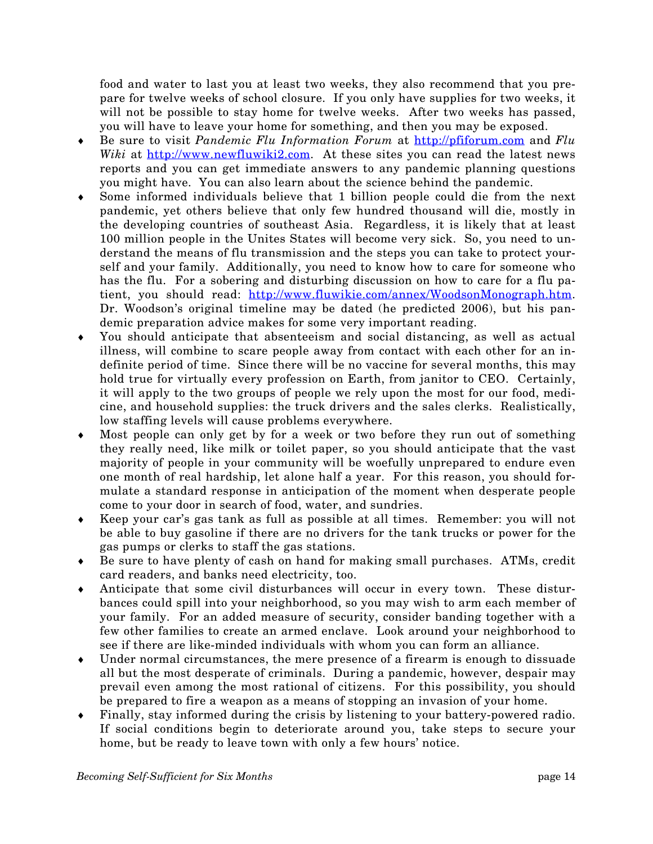food and water to last you at least two weeks, they also recommend that you pre pare for twelve weeks of school closure. If you only have supplies for two weeks, it will not be possible to stay home for twelve weeks. After two weeks has passed, you will have to leave your home for something, and then you may be exposed.

- ♦ Be sure to visit *Pandemic Flu Information Forum* at [http://pfiforum.com](http://www.pandemicflu.gov/) and *Flu Wiki* at [http://www.newfluwiki2.com](http://www.pandemicflu.gov/). At these sites you can read the latest news reports and you can get immediate answers to any pandemic planning questions you might have. You can also learn about the science behind the pandemic.
- ♦ the developing countries of southeast Asia. Regardless, it is likely that at least Some informed individuals believe that 1 billion people could die from the next pandemic, yet others believe that only few hundred thousand will die, mostly in 100 million people in the Unites States will become very sick. So, you need to understand the means of flu transmission and the steps you can take to protect yourself and your family. Additionally, you need to know how to care for someone who has the flu. For a sobering and disturbing discussion on how to care for a flu patient, you should read: <http://www.fluwikie.com/annex/WoodsonMonograph.htm>. Dr. Woodson's original timeline may be dated (he predicted 2006), but his pandemic preparation advice makes for some very important reading.
- You should anticipate that absenteeism and social distancing, as well as actual illness, will combine to scare people away from contact with each other for an indefinite period of time. Since there will be no vaccine for several m onths, this may ♦ hold true for virtually every profession on Earth, from janitor to CEO. Certainly, it will apply to the two groups of people we rely upon the most for our food, medicine, and household supplies: the truck drivers and the sales clerks. Realistically, low staffing levels will cause problems everywhere.
- ♦ Most people can only get by for a week or two before they run out of something majority of people in your community will be woefully unprepared to endure even they really need, like milk or toilet paper, so you should anticipate that the vast one month of real hardship, let alone half a year. For this reason, you should formulate a standard response in anticipation of the moment when desperate people come to your door in search of food, water, and sundries.
- ♦ Keep your car's gas tank as full as possible at all times. Remember: you will not be able to buy gasoline if there are no drivers for the tank trucks or power for the gas pumps or clerks to staff the gas stations.
- ♦ Be sure to have plenty of cash on hand for making small purchases. ATMs, credit card readers, and banks need electricity, too.
- Anticipate that some civil disturbances will occur in every town. These disturyour family. For an added measure of security, consider banding together with a bances could spill into your neighborhood, so you may wish to arm each member of few other families to create an armed enclave. Look around your neighborhood to see if there are like-minded individuals with whom you can form an alliance.
- ♦ Under normal circumstances, the mere presence of a firearm is enough to dissuade prevail even among the most rational of citizens. For this possibility, you should all but the most desperate of criminals. During a pandemic, however, despair may be prepared to fire a weapon as a means of stopping an invasion of your home.
- ♦ home, but be ready to leave town with only a few hours' notice. Finally, stay informed during the crisis by listening to your battery-powered radio. If social conditions begin to deteriorate around you, take steps to secure your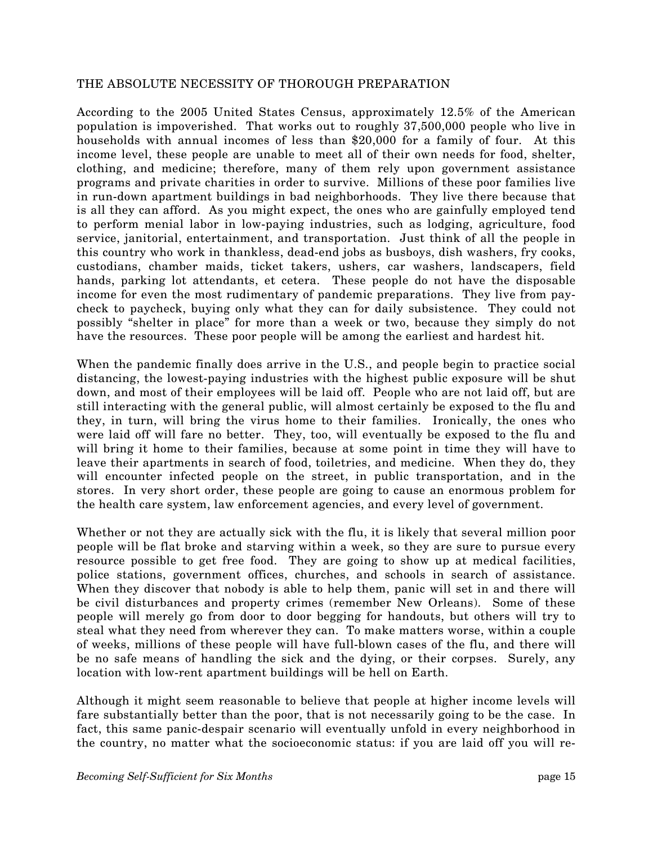## THE ABSOLUTE NECESSITY OF THOROUGH PREPARATION

Acc ording to the 2005 United States Census, approximately 12.5% of the American population is impoverished. That works out to roughly 37,500,000 people who live in households with annual incomes of less than \$20,000 for a family of four. At this income level, these people are unable to meet all of their own needs for food, shelter, clothing, and medicine; therefore, many of them rely upon government assistance programs and private charities in order to survive. Millions of these poor families live in run-down apartment buildings in bad neighborhoods. They live there because that is all they can afford. As you might expect, the ones who are gainfully employed tend to perform menial labor in low-paying industries, such as lodging, agriculture, food service, janitorial, entertainment, and transportation. Just think of all the people in this country who work in thankless, dead-end jobs as busboys, dish washers, fry cooks, custodians, chamber maids, ticket takers, ushers, car washers, landscapers, field hands, parking lot attendants, et cetera. These people do not have the disposable income for even the most rudimentary of pandemic preparations. They live from paycheck to paycheck, buying only what they can for daily subsistence. They could not possibly "shelter in place" for more than a week or two, because they simply do not have the resources. These poor people will be among the earliest and hardest hit.

down, and most of their employees will be laid off. People who are not laid off, but are still interacting with the general public, will almost certainly be exposed to the flu and When the pandemic finally does arrive in the U.S., and people begin to practice social distancing, the lowest-paying industries with the highest public exposure will be shut they, in turn, will bring the virus home to their families. Ironically, the ones who were laid off will fare no better. They, too, will eventually be exposed to the flu and will bring it home to their families, because at some point in time they will have to leave their apartments in search of food, toiletries, and medicine. When they do, they will encounter infected people on the street, in public transportation, and in the stores. In very short order, these people are going to cause an enormous problem for the health care system, law enforcement agencies, and every level of government.

resource possible to get free food. They are going to show up at medical facilities, police stations, government offices, churches, and schools in search of assistance. Whether or not they are actually sick with the flu, it is likely that several million poor people will be flat broke and starving within a week, so they are sure to pursue every When they discover that nobody is able to help them, panic will set in and there will be civil disturbances and property crimes (remember New Orleans). Some of these people will merely go from door to door begging for handouts, but others will try to steal what they need from wherever they can. To make matters worse, within a couple of weeks, millions of these people will have full-blown cases of the flu, and there will be no safe means of handling the sick and the dying, or their corpses. Surely, any location with low-rent apartment buildings will be hell on Earth.

fact, this same panic-despair scenario will eventually unfold in every neighborhood in the country, no matter what the socioeconomic status: if you are laid off you will re-Although it might seem reasonable to believe that people at higher income levels will fare substantially better than the poor, that is not necessarily going to be the case. In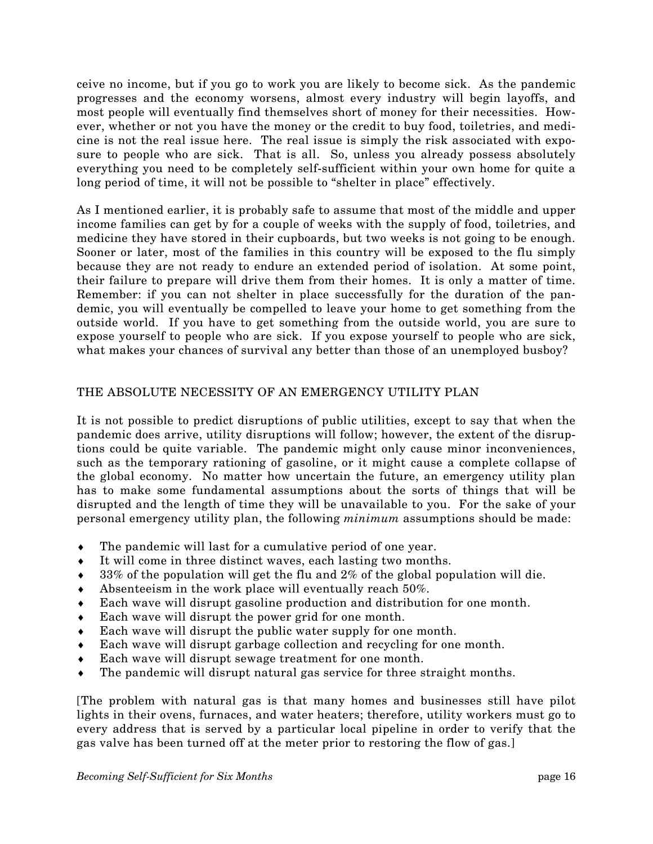ceive no income, but if you go to work you are likely to become sick. As the pandemic progresses and the economy worsens, almost every industry will begin layoffs, and most people will eventually find themselves short of money for their necessities. However, whether or not you have the money or the credit to buy food, toiletries, and medicine is not the real issue here. The real issue is simply the risk associated with exposure to people who are sick. That is all. So, unless you already possess absolutely everything you need to be completely self-sufficient within your own home for quite a long period of time, it will not be possible to "shelter in place" effectively.

As I mentioned earlier, it is probably safe to assume that most of the middle and upper income families can get by for a couple of weeks with the supply of food, toiletries, and medicine they have stored in their cupboards, but two weeks is not going to be enough. Sooner or later, most of the families in this country will be exposed to the flu simply because they are not ready to endure an extended period of isolation. At some point, their failure to prepare will drive them from their homes. It is only a matter of time. Remember: if you can not shelter in place successfully for the duration of the pandemic, you will eventually be compelled to leave your home to get something from the outside world. If you have to get something from the outside world, you are sure to expose yourself to people who are sick. If you expose yourself to people who are sick, what makes your chances of survival any better than those of an unemployed busboy?

# THE ABSOLUTE NECESSITY OF AN EMERGENCY UTILITY PLAN

It is not possible to predict disruptions of public utilities, except to say that when the pandemic does arrive, utility disruptions will follow; however, the extent of the disruptions could be quite variable. The pandemic might only cause minor inconveniences, such as the temporary rationing of gasoline, or it might cause a complete collapse of the global economy. No matter how uncertain the future, an emergency utility plan has to make some fundamental assumptions about the sorts of things that will be disrupted and the length of time they will be unavailable to you. For the sake of your personal emergency utility plan, the following *minimum* assumptions should be made:

- $\bullet$  The pandemic will last for a cumulative period of one year.
- ♦ It will come in three distinct waves, each lasting two months.
- $\bullet$  33% of the population will get the flu and 2% of the global population will die.
- Absenteeism in the work place will eventually reach 50%. ♦
- Each wave will disrupt gasoline production and distribution for one month.
- ♦ Each wave will disrupt the power grid for one month.
- ♦ Each wave will disrupt the public water supply for one month.
- Each wave will disrupt garbage collection and recycling for one month.
- ♦ Each wave will disrupt sewage treatment for one month.
- The pandemic will disrupt natural gas service for three straight months.

[The problem with natural gas is that many homes and businesses still have pilot lights in their ovens, furnaces, and water heaters; therefore, utility workers must go to every address that is served by a particular local pipeline in order to verify that the gas valve has been turned off at the meter prior to restoring the flow of gas.]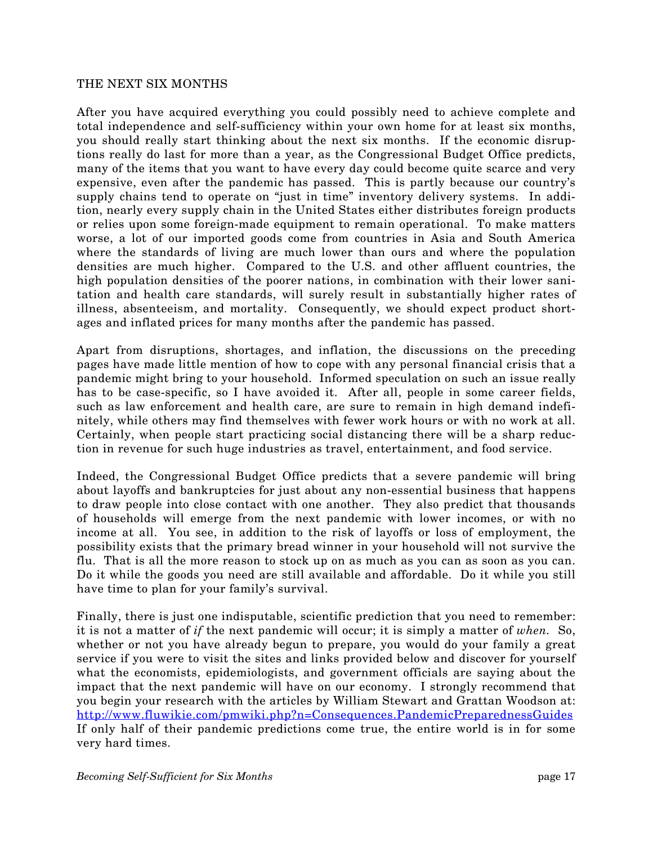#### THE NEXT SIX MONTHS

you should really start thinking about the next six months. If the economic disruptions really do last for more than a year, as the Congressional Budget Office predicts, many of the items that you want to have every day could become quite scarce and very After you have acquired everything you could possibly need to achieve complete and total independence and self-sufficiency within your own home for at least six months, expensive, even after the pandemic has passed. This is partly because our country's supply chains tend to operate on "just in time" inventory delivery systems. In addition, nearly every supply chain in the United States either distributes foreign products or relies upon some foreign-made equipment to remain operational. To make matters worse, a lot of our imported goods come from countries in Asia and South America where the standards of living are much lower than ours and where the population densities are much higher. Compared to the U.S. and other affluent countries, the high population densities of the poorer nations, in combination with their lower sanitation and health care standards, will surely result in substantially higher rates of illness, absenteeism, and mortality. Consequently, we should expect product shortages and inflated prices for many months after the pandemic has passed.

has to be case-specific, so I have avoided it. After all, people in some career fields, such as law enforcement and health care, are sure to remain in high demand indefi-Apart from disruptions, shortages, and inflation, the discussions on the preceding pages have made little mention of how to cope with any personal financial crisis that a pandemic might bring to your household. Informed speculation on such an issue really nitely, while others may find themselves with fewer work hours or with no work at all. Certainly, when people start practicing social distancing there will be a sharp reduction in revenue for such huge industries as travel, entertainment, and food service.

o of households will emerge from the next pandemic with lower incomes, or with n income at all. You see, in addition to the risk of layoffs or loss of employment, the Indeed, the Congressional Budget Office predicts that a severe pandemic will bring about layoffs and bankruptcies for just about any non-essential business that happens to draw people into close contact with one another. They also predict that thousands possibility exists that the primary bread winner in your household will not survive the flu. That is all the more reason to stock up on as much as you can as soon as you can. Do it while the goods you need are still available and affordable. Do it while you still have time to plan for your family's survival.

service if you were to visit the sites and links provided below and discover for yourself what the economists, epidemiologists, and government officials are saying about the Finally, there is just one indisputable, scientific prediction that you need to remember: it is not a matter of *if* the next pandemic will occur; it is simply a matter of *when.* So, whether or not you have already begun to prepare, you would do your family a great impact that the next pandemic will have on our economy. I strongly recommend that you begin your research with the articles by William Stewart and Grattan Woodson at: <http://www.fluwikie.com/pmwiki.php?n=Consequences.PandemicPreparednessGuides> If only half of their pandemic predictions come true, the entire world is in for some very hard times.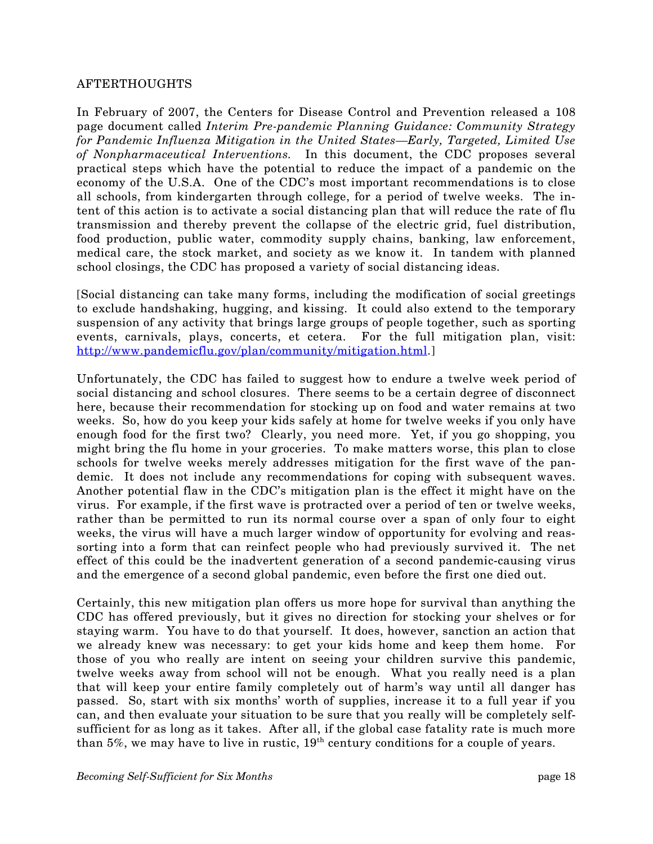#### AFTERTHOUGHTS

In February of 2007, the Centers for Disease Control and Prevention released a 108 page document called *Interim Pre-pandemic Planning Guidance: Community Strategy* for Pandemic Influenza Mitigation in the United States—Early, Targeted, Limited Use *l Interventions.* In this document, the CDC proposes several *of Nonpharmaceutica* practical steps which have the potential to reduce the impact of a pandemic on the economy of the U.S.A. One of the CDC's most important recommendations is to close all schools, from kindergarten through college, for a period of twelve weeks. The intent of this action is to activate a social distancing plan that will reduce the rate of flu transmission and thereby prevent the collapse of the electric grid, fuel distribution, food production, public water, commodity supply chains, banking, law enforcement, medical care, the stock market, and society as we know it. In tandem with planned school closings, the CDC has proposed a variety of social distancing ideas.

events, carnivals, plays, concerts, et cetera. For the full mitigation plan, visit: http://www.pandemicflu.gov/plan/community/mitigation.html.] [Social distancing can take many forms, including the modification of social greetings to exclude handshaking, hugging, and kissing. It could also extend to the temporary suspension of any activity that brings large groups of people together, such as sporting

weeks. So, how do you keep your kids safely at home for twelve weeks if you only have nough food for the first two? Clearly, you need more. Yet, if you go shopping, you e Unfortunately, the CDC has failed to suggest how to endure a twelve week period of social distancing and school closures. There seems to be a certain degree of disconnect here, because their recommendation for stocking up on food and water remains at two might bring the flu home in your groceries. To make matters worse, this plan to close schools for twelve weeks merely addresses mitigation for the first wave of the pandemic. It does not include any recommendations for coping with subsequent waves. Another potential flaw in the CDC's mitigation plan is the effect it might have on the virus. For example, if the first wave is protracted over a period of ten or twelve weeks, rather than be permitted to run its normal course over a span of only four to eight weeks, the virus will have a much larger window of opportunity for evolving and reassorting into a form that can reinfect people who had previously survived it. The net effect of this could be the inadvertent generation of a second pandemic-causing virus and the emergence of a second global pandemic, even before the first one died out.

we already knew was necessary: to get your kids home and keep them home. For those of you who really are intent on seeing your children survive this pandemic, Certainly, this new mitigation plan offers us more hope for survival than anything the CDC has offered previously, but it gives no direction for stocking your shelves or for staying warm. You have to do that yourself. It does, however, sanction an action that twelve weeks away from school will not be enough. What you really need is a plan that will keep your entire family completely out of harm's way until all danger has passed. So, start with six months' worth of supplies, increase it to a full year if you can, and then evaluate your situation to be sure that you really will be completely selfsufficient for as long as it takes. After all, if the global case fatality rate is much more than  $5\%$ , we may have to live in rustic,  $19<sup>th</sup>$  century conditions for a couple of years.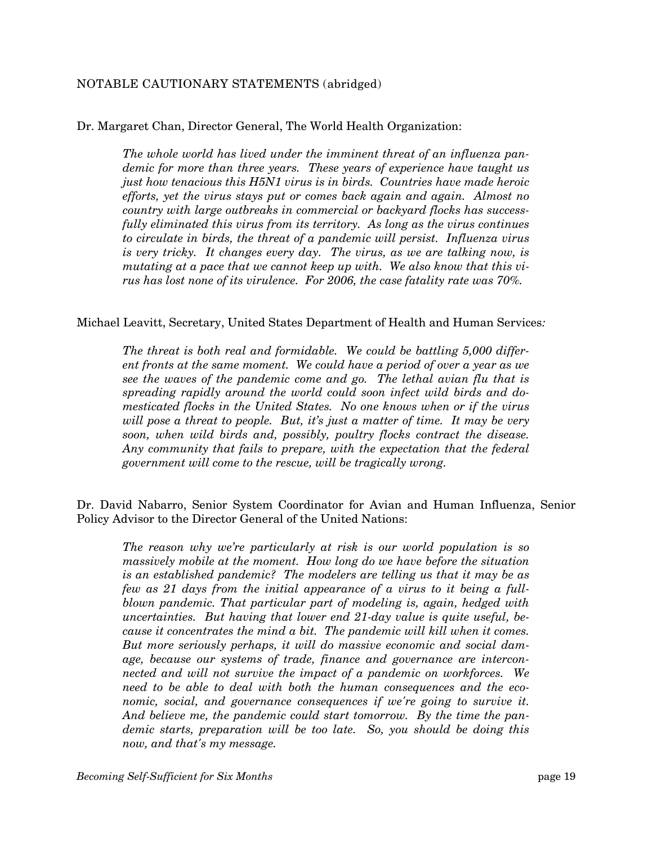## NOTABLE CAUTIONARY STATEMENTS (abridged)

Dr. Margaret Chan, Director General, The World Health Organization:

*The whole world has lived under the imminent threat of an influenza pandemic for more than three years. These years of experience have taught us just how tenacious this H5N1 virus is in birds. Countries have made heroic* efforts, yet the virus stays put or comes back again and again. Almost no *country with large outbreaks in commercial or backyard flocks has successfully eliminated this virus from its territory. As long as the virus continues to circulate in birds, the threat of a pandemic will persist. Influenza virus is very tricky. It changes every day. The virus, as we are talking now, is mutating at a pace that we cannot keep up with. We also know that this virus has lost none of its virulence. For 2006, the case fatality rate was 70%.* 

#### Michael Leavitt, Secretary, United States Department of Health and Human Services:

*ent fronts at the same moment. We could have a period of over a year as we see the waves of the pandemic come and go. The lethal avian flu that is mesticated flocks in the United States. No one knows when or if the virus The threat is both real and formidable. We could be battling 5,000 differspreading rapidly around the world could soon infect wild birds and dowill pose a threat to people. But, it's just a matter of time. It may be very soon, when wild birds and, possibly, poultry flocks contract the disease. Any community that fails to prepare, with the expectation that the federal government will come to the rescue, will be tragically wrong.* 

Dr. David Nabarro, Senior System Coordinator for Avian and Human Influenza, Senior Policy A dvisor to the Director General of the United Nations:

*The reason why we're particularly at risk is our world population is so massively mobile at the moment. How long do we have before the situation* few as 21 days from the initial appearance of a virus to it being a full*blown pandemic. That particular part of modeling is, again, hedged with is an established pandemic? The modelers are telling us that it may be as uncertainties. But having that lower end 21-day value is quite useful, because it concentrates the mind a bit. The pandemic will kill when it comes. But more seriously perhaps, it will do massive economic and social damage, because our systems of trade, finance and governance are interconnected and will not survive the impact of a pandemic on workforces. We need to be able to deal with both the human consequences and the economic, social, and governance consequences if we're going to survive it. And believe me, the pandemic could start tomorrow. By the time the pandemic starts, preparation will be too late. So, you should be doing this now, and that's my message.*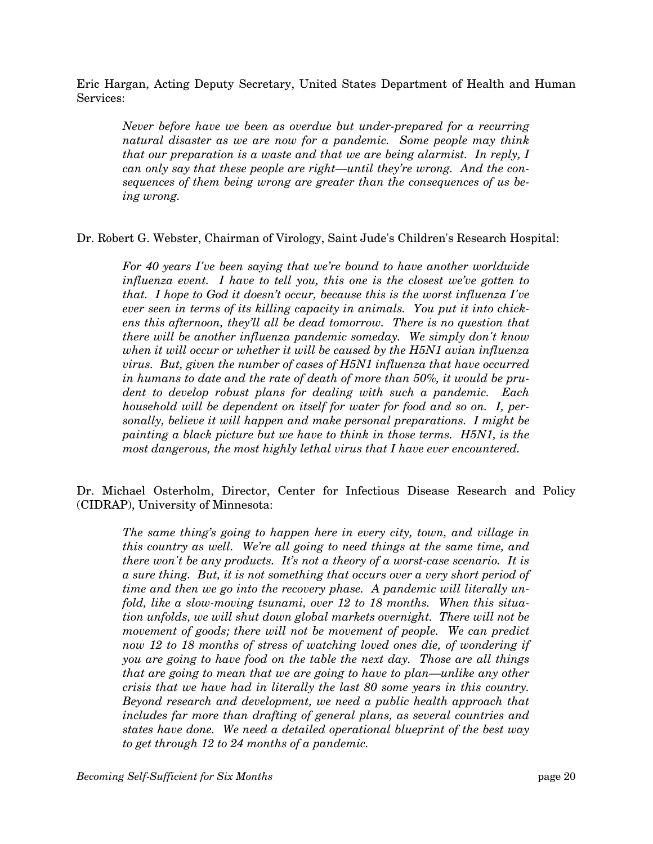Eric Hargan, Acting Deputy Secretary, United States Department of Health and Human Services :

*natural disaster as we are now for a pandemic. Some people may think can only say that these people are right—until they're wrong. And the consequences of them being wrong are greater than the consequences of us be-Never before have we been as overdue but under-prepared for a recurring that our preparation is a waste and that we are being alarmist. In reply, I ing wrong.* 

Dr. Robert G. Webster, Chairman of Virology, Saint Jude's Children's Research Hospital:

For 40 years I've been saying that we're bound to have another worldwide *influenza event. I have to tell you, this one is the closest we've gotten to that. I hope to God it doesn't occur, because this is the worst influenza I've* ens this afternoon, they'll all be dead tomorrow. There is no question that *ever seen in terms of its killing capacity in animals. You put it into chickthere will be another influenza pandemic someday. We simply don't know when it will occur or whether it will be caused by the H5N1 avian influenza virus. But, given the number of cases of H5N1 influenza that have occurred in humans to date and the rate of death of more than 50%, it would be prudent to develop robust plans for dealing with such a pandemic. Each household will be dependent on itself for water for food and so on. I, personally, believe it will happen and make personal preparations. I might be painting a black picture but we have to think in those terms. H5N1, is the most dangerous, the most highly lethal virus that I have ever encountered.* 

Dr. Michael Osterholm, Director, Center for Infectious Disease Research and Policy (CIDRA P), University of Minnesota:

*The same thing's going to happen here in every city, town, and village in this country as well. We're all going to need things at the same time, and*  $a$  sure thing. But, it is not something that occurs over  $a$  very short period of *time and then we go into the recovery phase. A pandemic will literally unthere won't be any products. It's not a theory of a worst-case scenario. It is fold, like a slow-moving tsunami, over 12 to 18 months. When this situation unfolds, we will shut down global markets overnight. There will not be movement of goods; there will not be movement of people. We can predict*  now 12 to 18 months of stress of watching loved ones die, of wondering if *you are going to have food on the table the next day. Those are all things that are going to mean that we are going to have to plan—unlike any other crisis that we have had in literally the last 80 some years in this country. Beyond research and development, we need a public health approach that includes far more than drafting of general plans, as several countries and states have done. We need a detailed operational blueprint of the best way to get through 12 to 24 months of a pandemic.*